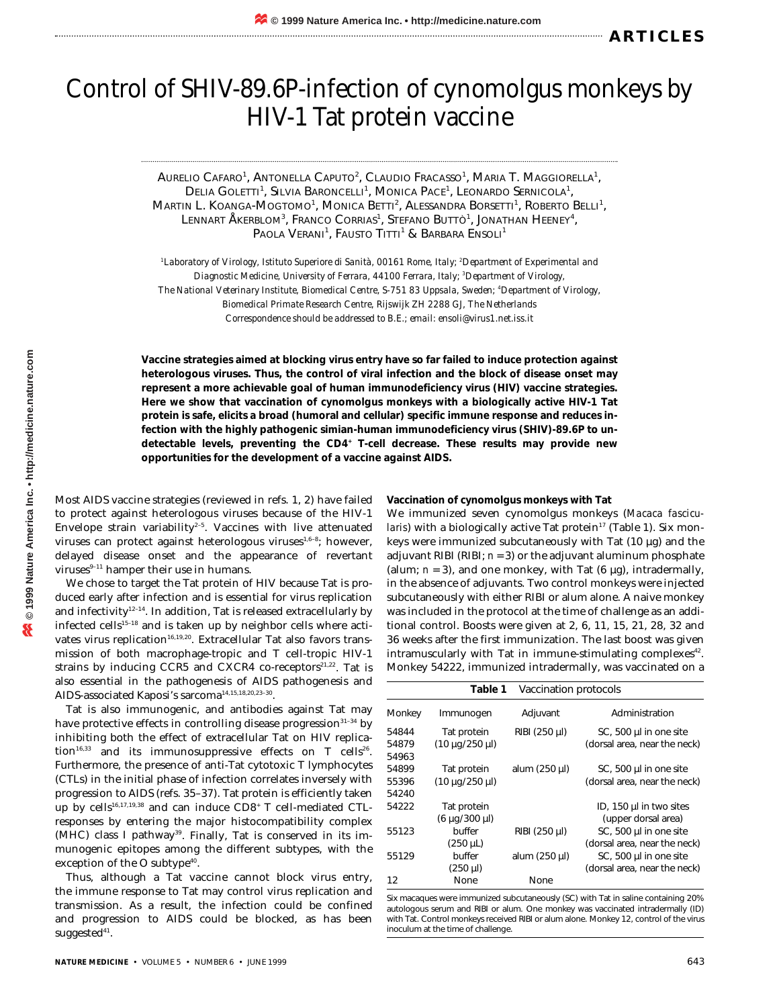# Control of SHIV-89.6P-infection of cynomolgus monkeys by HIV-1 Tat protein vaccine

Aurelio Cafaro<sup>1</sup>, Antonella Caputo<sup>2</sup>, Claudio Fracasso<sup>1</sup>, Maria T. Maggiorella<sup>1</sup>, Delia Goletti<sup>1</sup>, Silvia Baroncelli<sup>1</sup>, Monica Pace<sup>1</sup>, Leonardo Sernicola<sup>1</sup>, Martin L. Koanga-Mogtomo<sup>1</sup>, Monica Betti<sup>2</sup>, Alessandra Borsetti<sup>1</sup>, Roberto Belli<sup>1</sup>, LENNART ÅKERBLOM<sup>3</sup>, Franco Corrias<sup>1</sup>, Stefano Buttò<sup>1</sup>, Jonathan Heeney<sup>4</sup>, Paola Verani<sup>1</sup>, Fausto Titti<sup>1</sup> & Barbara Ensoli<sup>1</sup>

*1 Laboratory of Virology, Istituto Superiore di Sanità, 00161 Rome, Italy; 2 Department of Experimental and Diagnostic Medicine, University of Ferrara, 44100 Ferrara, Italy; 3 Department of Virology, The National Veterinary Institute, Biomedical Centre, S-751 83 Uppsala, Sweden; 4 Department of Virology, Biomedical Primate Research Centre, Rijswijk ZH 2288 GJ, The Netherlands Correspondence should be addressed to B.E.; email: ensoli@virus1.net.iss.it*

**Vaccine strategies aimed at blocking virus entry have so far failed to induce protection against heterologous viruses. Thus, the control of viral infection and the block of disease onset may represent a more achievable goal of human immunodeficiency virus (HIV) vaccine strategies. Here we show that vaccination of cynomolgus monkeys with a biologically active HIV-1 Tat protein is safe, elicits a broad (humoral and cellular) specific immune response and reduces infection with the highly pathogenic simian-human immunodeficiency virus (SHIV)-89.6P to undetectable levels, preventing the CD4+ T-cell decrease. These results may provide new opportunities for the development of a vaccine against AIDS.**

Most AIDS vaccine strategies (reviewed in refs. 1, 2) have failed to protect against heterologous viruses because of the HIV-1 Envelope strain variability $2-5$ . Vaccines with live attenuated viruses can protect against heterologous viruses<sup>1,6-8</sup>; however, delayed disease onset and the appearance of revertant viruses $9-11$  hamper their use in humans.

We chose to target the Tat protein of HIV because Tat is produced early after infection and is essential for virus replication and infectivity $12-14$ . In addition, Tat is released extracellularly by infected cells $15-18$  and is taken up by neighbor cells where activates virus replication<sup>16,19,20</sup>. Extracellular Tat also favors transmission of both macrophage-tropic and T cell-tropic HIV-1 strains by inducing CCR5 and CXCR4 co-receptors $21.22$ . Tat is also essential in the pathogenesis of AIDS pathogenesis and AIDS-associated Kaposi's sarcoma<sup>14,15,18,20,23-30</sup>.

Tat is also immunogenic, and antibodies against Tat may have protective effects in controlling disease progression<sup>31-34</sup> by inhibiting both the effect of extracellular Tat on HIV replication<sup>16,33</sup> and its immunosuppressive effects on T cells<sup>26</sup>. Furthermore, the presence of anti-Tat cytotoxic T lymphocytes (CTLs) in the initial phase of infection correlates inversely with progression to AIDS (refs. 35–37). Tat protein is efficiently taken up by cells<sup>16,17,19,38</sup> and can induce CD8<sup>+</sup> T cell-mediated CTLresponses by entering the major histocompatibility complex  $(MHC)$  class I pathway<sup>39</sup>. Finally, Tat is conserved in its immunogenic epitopes among the different subtypes, with the exception of the O subtype<sup>40</sup>.

Thus, although a Tat vaccine cannot block virus entry, the immune response to Tat may control virus replication and transmission. As a result, the infection could be confined and progression to AIDS could be blocked, as has been suggested<sup>41</sup>.

**Vaccination of cynomolgus monkeys with Tat**

We immunized seven cynomolgus monkeys (*Macaca fascicularis*) with a biologically active Tat protein<sup>17</sup> (Table 1). Six monkeys were immunized subcutaneously with Tat (10 µg) and the adjuvant RIBI (RIBI; *n* = 3) or the adjuvant aluminum phosphate (alum;  $n = 3$ ), and one monkey, with Tat  $(6 \mu g)$ , intradermally, in the absence of adjuvants. Two control monkeys were injected subcutaneously with either RIBI or alum alone. A naive monkey was included in the protocol at the time of challenge as an additional control. Boosts were given at 2, 6, 11, 15, 21, 28, 32 and 36 weeks after the first immunization. The last boost was given intramuscularly with Tat in immune-stimulating complexes $42$ . Monkey 54222, immunized intradermally, was vaccinated on a

|        | Table 1               | Vaccination protocols |                                |
|--------|-----------------------|-----------------------|--------------------------------|
| Monkey | Immunogen             | Adjuvant              | Administration                 |
| 54844  | Tat protein           | RIBI (250 µl)         | $SC1$ , 500 µl in one site     |
| 54879  | (10 µg/250 µl)        |                       | (dorsal area, near the neck)   |
| 54963  |                       |                       |                                |
| 54899  | Tat protein           | alum (250 µl)         | $SC$ , 500 $\mu$ l in one site |
| 55396  | (10 µg/250 µl)        |                       | (dorsal area, near the neck)   |
| 54240  |                       |                       |                                |
| 54222  | Tat protein           |                       | ID, 150 µl in two sites        |
|        | $(6 \mu q/300 \mu l)$ |                       | (upper dorsal area)            |
| 55123  | buffer                | RIBI (250 µl)         | $SC$ , 500 $\mu$ l in one site |
|        | $(250 \mu L)$         |                       | (dorsal area, near the neck)   |
| 55129  | buffer                | alum (250 µl)         | $SC$ , 500 $\mu$ l in one site |
|        | $(250 \mu l)$         |                       | (dorsal area, near the neck)   |
| 12     | None                  | None                  |                                |
|        |                       |                       |                                |

Six macaques were immunized subcutaneously (SC) with Tat in saline containing 20% autologous serum and RIBI or alum. One monkey was vaccinated intradermally (ID) with Tat. Control monkeys received RIBI or alum alone. Monkey 12, control of the virus inoculum at the time of challenge.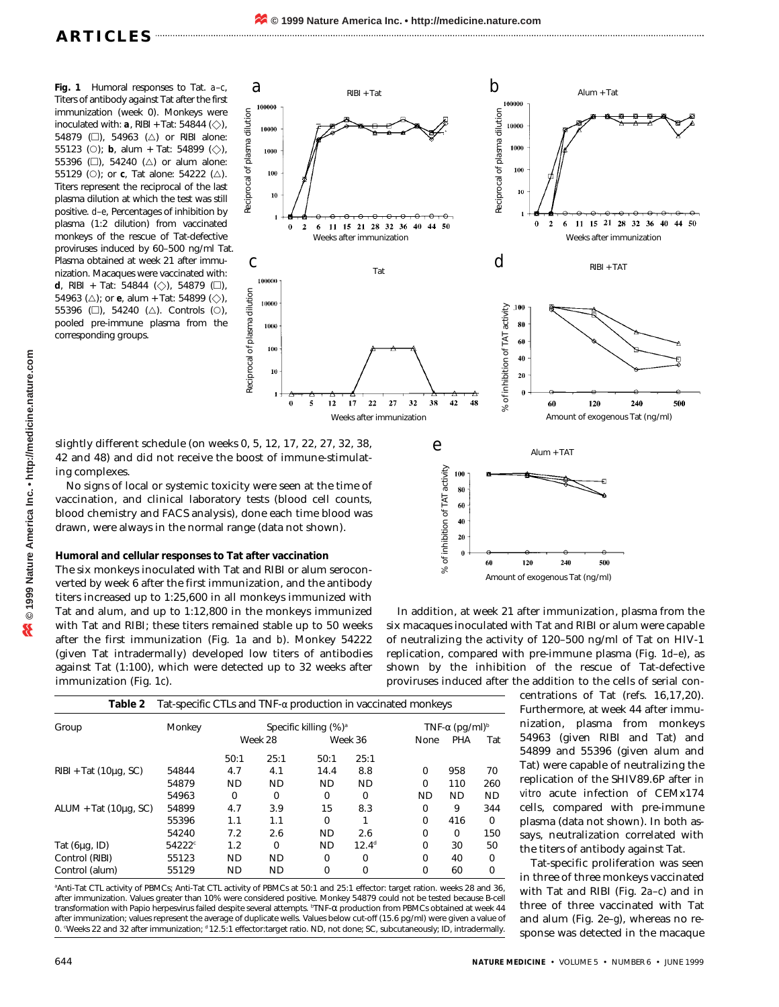**Fig. 1** Humoral responses to Tat. *a*–*c*, Titers of antibody against Tat after the first immunization (week 0). Monkeys were inoculated with:  $a$ , RIBI + Tat: 54844 ( $\diamondsuit$ ), 54879  $\Box$ ), 54963  $(\triangle)$  or RIBI alone: 55123 (O); **b**, alum + Tat: 54899 ( $\diamondsuit$ ), 55396 ( $\square$ ), 54240 ( $\triangle$ ) or alum alone: 55129 (O); or **c**, Tat alone: 54222 ( $\triangle$ ). Titers represent the reciprocal of the last plasma dilution at which the test was still positive. *d*–*e*, Percentages of inhibition by plasma (1:2 dilution) from vaccinated monkeys of the rescue of Tat-defective proviruses induced by 60–500 ng/ml Tat. Plasma obtained at week 21 after immunization. Macaques were vaccinated with: *d*, RIBI + Tat: 54844 ( $\Diamond$ ), 54879 ( $\square$ ), 54963 ( $\triangle$ ); or **e**, alum + Tat: 54899 ( $\diamondsuit$ ), 55396 ( $\Box$ ), 54240 ( $\triangle$ ). Controls ( $\circ$ ), pooled pre-immune plasma from the corresponding groups.



slightly different schedule (on weeks 0, 5, 12, 17, 22, 27, 32, 38, 42 and 48) and did not receive the boost of immune-stimulating complexes.

No signs of local or systemic toxicity were seen at the time of vaccination, and clinical laboratory tests (blood cell counts, blood chemistry and FACS analysis), done each time blood was drawn, were always in the normal range (data not shown).

## **Humoral and cellular responses to Tat after vaccination**

The six monkeys inoculated with Tat and RIBI or alum seroconverted by week 6 after the first immunization, and the antibody titers increased up to 1:25,600 in all monkeys immunized with Tat and alum, and up to 1:12,800 in the monkeys immunized with Tat and RIBI; these titers remained stable up to 50 weeks after the first immunization (Fig. 1*a* and *b*). Monkey 54222 (given Tat intradermally) developed low titers of antibodies against Tat (1:100), which were detected up to 32 weeks after immunization (Fig. 1*c*).

|                                                                                                 | Reciprocal of plasma dilution<br>10000<br>1000<br>100<br>10<br>$\mathbf{I}$         |                                                   |                      |
|-------------------------------------------------------------------------------------------------|-------------------------------------------------------------------------------------|---------------------------------------------------|----------------------|
| 8 32 36<br>44 50<br>40                                                                          | $\bf{0}$                                                                            | $\overline{2}$<br>21<br>6<br>15<br>28<br>32<br>11 | 36<br>40<br>50<br>44 |
| unization                                                                                       |                                                                                     | Weeks after immunization                          |                      |
| Tat                                                                                             | $\boldsymbol{d}$                                                                    | RIBI + TAT                                        |                      |
| 38<br>42<br>48<br>32<br>27<br>2                                                                 | .100<br>% of inhibition of TAT activity<br>80<br>60<br>40<br>${\bf 20}$<br>$\bf{0}$ | 120<br>240<br>60                                  | 500                  |
| immunization                                                                                    |                                                                                     | Amount of exogenous Tat (ng/ml)                   |                      |
| $\boldsymbol{e}$<br>% of inhibition of TAT activity<br>100<br>80<br>60<br>40<br>20<br>$\pmb{0}$ | 120<br>60                                                                           | $Alum + TAT$<br>Ð<br>240<br>500                   |                      |
|                                                                                                 |                                                                                     | Amount of exogenous Tat (ng/ml)                   |                      |
|                                                                                                 |                                                                                     |                                                   |                      |

 $\rightarrow$ 

50

In addition, at week 21 after immunization, plasma from the six macaques inoculated with Tat and RIBI or alum were capable of neutralizing the activity of 120–500 ng/ml of Tat on HIV-1 replication, compared with pre-immune plasma (Fig. 1*d*–*e*), as shown by the inhibition of the rescue of Tat-defective proviruses induced after the addition to the cells of serial con-

| Table 2               | Tat-specific CTLs and TNF- $\alpha$ production in vaccinated monkeys |                                   |           |           |                                    |           |           |           |
|-----------------------|----------------------------------------------------------------------|-----------------------------------|-----------|-----------|------------------------------------|-----------|-----------|-----------|
| Group                 | Monkey                                                               | Specific killing (%) <sup>a</sup> |           |           | TNF- $\alpha$ (pg/ml) <sup>b</sup> |           |           |           |
|                       |                                                                      | Week 28                           |           | Week 36   |                                    | None      | PHA       | Tat       |
|                       |                                                                      | 50:1                              | 25:1      | 50:1      | 25:1                               |           |           |           |
| RIBI + Tat (10µg, SC) | 54844                                                                | 4.7                               | 4.1       | 14.4      | 8.8                                | 0         | 958       | 70        |
|                       | 54879                                                                | <b>ND</b>                         | <b>ND</b> | <b>ND</b> | <b>ND</b>                          | $\Omega$  | 110       | 260       |
|                       | 54963                                                                | 0                                 | $\Omega$  | $\Omega$  | $\Omega$                           | <b>ND</b> | <b>ND</b> | <b>ND</b> |
| ALUM + Tat (10µg, SC) | 54899                                                                | 4.7                               | 3.9       | 15        | 8.3                                | 0         | 9         | 344       |
|                       | 55396                                                                | 1.1                               | 1.1       | $\Omega$  | 1                                  | 0         | 416       | $\Omega$  |
|                       | 54240                                                                | 7.2                               | 2.6       | <b>ND</b> | 2.6                                | 0         | $\Omega$  | 150       |
| Tat (6µg, ID)         | 54222 <sup>c</sup>                                                   | 1.2                               | $\Omega$  | <b>ND</b> | $12.4^d$                           | $\Omega$  | 30        | 50        |
| Control (RIBI)        | 55123                                                                | <b>ND</b>                         | <b>ND</b> | $\Omega$  | 0                                  | $\Omega$  | 40        | $\Omega$  |
| Control (alum)        | 55129                                                                | <b>ND</b>                         | <b>ND</b> | $\Omega$  | $\Omega$                           | $\Omega$  | 60        | $\Omega$  |

a Anti-Tat CTL activity of PBMCs; Anti-Tat CTL activity of PBMCs at 50:1 and 25:1 effector: target ration. weeks 28 and 36, after immunization. Values greater than 10% were considered positive. Monkey 54879 could not be tested because B-cell transformation with Papio herpesvirus failed despite several attempts. <sup>b</sup>TNF-α production from PBMCs obtained at week 44 after immunization; values represent the average of duplicate wells. Values below cut-off (15.6 pg/ml) were given a value of 0. 'Weeks 22 and 32 after immunization; <sup>d</sup> 12.5:1 effector:target ratio. ND, not done; SC, subcutaneously; ID, intradermally.

centrations of Tat (refs. 16,17,20). Furthermore, at week 44 after immunization, plasma from monkeys 54963 (given RIBI and Tat) and 54899 and 55396 (given alum and Tat) were capable of neutralizing the replication of the SHIV89.6P after *in vitro* acute infection of CEMx174 cells, compared with pre-immune plasma (data not shown). In both assays, neutralization correlated with the titers of antibody against Tat.

Tat-specific proliferation was seen in three of three monkeys vaccinated with Tat and RIBI (Fig. 2*a*–*c*) and in three of three vaccinated with Tat and alum (Fig. 2*e*–*g*), whereas no response was detected in the macaque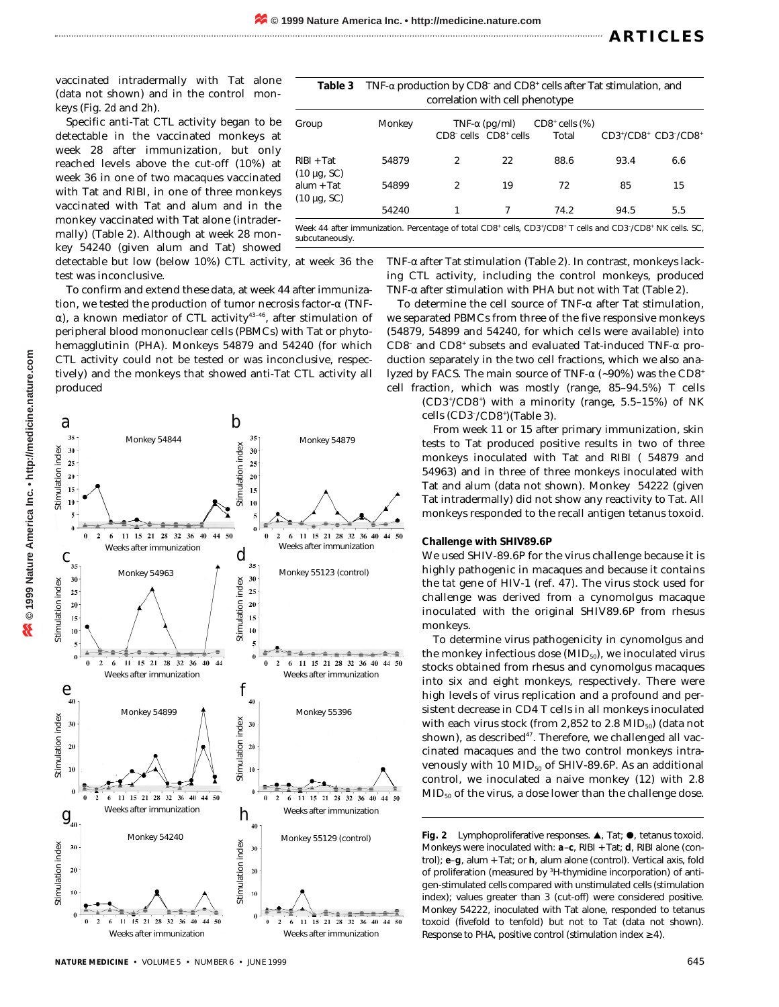vaccinated intradermally with Tat alone (data not shown) and in the control monkeys (Fig. 2*d* and 2*h*).

Specific anti-Tat CTL activity began to be detectable in the vaccinated monkeys at week 28 after immunization, but only reached levels above the cut-off (10%) at week 36 in one of two macaques vaccinated with Tat and RIBI, in one of three monkeys vaccinated with Tat and alum and in the monkey vaccinated with Tat alone (intradermally) (Table 2). Although at week 28 monkey 54240 (given alum and Tat) showed

detectable but low (below 10%) CTL activity, at week 36 the test was inconclusive.

To confirm and extend these data, at week 44 after immunization, we tested the production of tumor necrosis factor-α (TNFα), a known mediator of CTL activity<sup>43-46</sup>, after stimulation of peripheral blood mononuclear cells (PBMCs) with Tat or phytohemagglutinin (PHA). Monkeys 54879 and 54240 (for which CTL activity could not be tested or was inconclusive, respectively) and the monkeys that showed anti-Tat CTL activity all produced



| Table 3                          | TNF- $\alpha$ production by CD8 <sup>-</sup> and CD8 <sup>+</sup> cells after Tat stimulation, and<br>correlation with cell phenotype |                |                                                                        |                                                                                                                                                                         |      |                     |
|----------------------------------|---------------------------------------------------------------------------------------------------------------------------------------|----------------|------------------------------------------------------------------------|-------------------------------------------------------------------------------------------------------------------------------------------------------------------------|------|---------------------|
| Group                            | Monkey                                                                                                                                |                | TNF- $\alpha$ (pg/ml)<br>CD8 <sup>-</sup> cells CD8 <sup>+</sup> cells | $CD8+$ cells $(\%)$<br>Total                                                                                                                                            |      | CD3+/CD8+ CD3-/CD8+ |
| $RIBI + Tat$<br>$(10 \mu g, SC)$ | 54879                                                                                                                                 | 2              | 22                                                                     | 88.6                                                                                                                                                                    | 93.4 | 6.6                 |
| $alum + Tat$<br>$(10 \mu g, SC)$ | 54899                                                                                                                                 | $\mathfrak{D}$ | 19                                                                     | 72                                                                                                                                                                      | 85   | 15                  |
|                                  | 54240                                                                                                                                 |                |                                                                        | 74.2                                                                                                                                                                    | 94.5 | 5.5                 |
|                                  |                                                                                                                                       |                |                                                                        | Week 44 after immunization. Percentage of total CD8 <sup>+</sup> cells, CD3 <sup>+</sup> /CD8 <sup>+</sup> T cells and CD3 <sup>-</sup> /CD8 <sup>+</sup> NK cells. SC, |      |                     |

Week 44 after immunization. Percentage of total CD8<sup>+</sup> cells, CD3<sup>+</sup> subcutaneously.

> TNF-α after Tat stimulation (Table 2). In contrast, monkeys lacking CTL activity, including the control monkeys, produced TNF-α after stimulation with PHA but not with Tat (Table 2).

> To determine the cell source of TNF-α after Tat stimulation, we separated PBMCs from three of the five responsive monkeys (54879, 54899 and 54240, for which cells were available) into CD8– and CD8+ subsets and evaluated Tat-induced TNF-α production separately in the two cell fractions, which we also analyzed by FACS. The main source of TNF- $\alpha$  (~90%) was the CD8<sup>+</sup> cell fraction, which was mostly (range, 85–94.5%) T cells

(CD3+ /CD8+ ) with a minority (range, 5.5–15%) of NK cells (CD3– /CD8+ )(Table 3).

From week 11 or 15 after primary immunization, skin tests to Tat produced positive results in two of three monkeys inoculated with Tat and RIBI ( 54879 and 54963) and in three of three monkeys inoculated with Tat and alum (data not shown). Monkey 54222 (given Tat intradermally) did not show any reactivity to Tat. All monkeys responded to the recall antigen tetanus toxoid.

### **Challenge with SHIV89.6P**

We used SHIV-89.6P for the virus challenge because it is highly pathogenic in macaques and because it contains the *tat* gene of HIV-1 (ref. 47). The virus stock used for challenge was derived from a cynomolgus macaque inoculated with the original SHIV89.6P from rhesus monkeys.

To determine virus pathogenicity in cynomolgus and the monkey infectious dose  $(MID_{50})$ , we inoculated virus stocks obtained from rhesus and cynomolgus macaques into six and eight monkeys, respectively. There were high levels of virus replication and a profound and persistent decrease in CD4 T cells in all monkeys inoculated with each virus stock (from 2,852 to 2.8  $MID_{50}$ ) (data not shown), as described<sup>47</sup>. Therefore, we challenged all vaccinated macaques and the two control monkeys intravenously with 10  $MID_{50}$  of SHIV-89.6P. As an additional control, we inoculated a naive monkey (12) with 2.8 MID50 of the virus, a dose lower than the challenge dose.

Fig. 2 Lymphoproliferative responses.  $\blacktriangle$ , Tat;  $\blacklozenge$ , tetanus toxoid. Monkeys were inoculated with:  $a-c$ , RIBI + Tat;  $d$ , RIBI alone (control); *e*–*g*, alum + Tat; or *h*, alum alone (control). Vertical axis, fold of proliferation (measured by <sup>3</sup>H-thymidine incorporation) of antigen-stimulated cells compared with unstimulated cells (stimulation index); values greater than 3 (cut-off) were considered positive. Monkey 54222, inoculated with Tat alone, responded to tetanus toxoid (fivefold to tenfold) but not to Tat (data not shown). Response to PHA, positive control (stimulation index ≥ 4).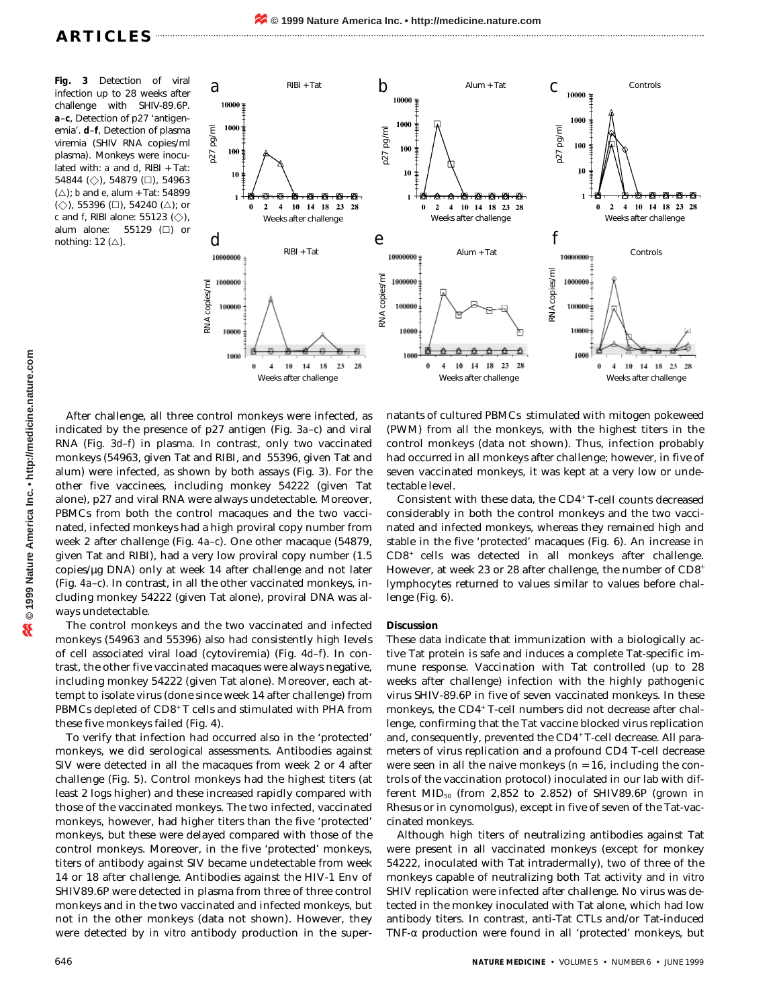**Fig. 3** Detection of viral infection up to 28 weeks after challenge with SHIV-89.6P. *a*–*c*, Detection of p27 'antigenemia'. *d*–*f*, Detection of plasma viremia (SHIV RNA copies/ml plasma). Monkeys were inoculated with: *a* and *d*, RIBI + Tat: 54844 ( $\diamondsuit$ ), 54879 ( $\square$ ), 54963 (△); *b* and *e*, alum + Tat: 54899 (◇), 55396 (□), 54240 (△); or  $c$  and  $f$ , RIBI alone: 55123  $(\diamondsuit)$ , alum alone:  $55129$  ( $\Box$ ) or nothing: 12  $(\triangle)$ .



After challenge, all three control monkeys were infected, as indicated by the presence of p27 antigen (Fig. 3*a*–*c*) and viral RNA (Fig. 3*d*–*f*) in plasma. In contrast, only two vaccinated monkeys (54963, given Tat and RIBI, and 55396, given Tat and alum) were infected, as shown by both assays (Fig. 3). For the other five vaccinees, including monkey 54222 (given Tat alone), p27 and viral RNA were always undetectable. Moreover, PBMCs from both the control macaques and the two vaccinated, infected monkeys had a high proviral copy number from week 2 after challenge (Fig. *4a*–*c*). One other macaque (54879, given Tat and RIBI), had a very low proviral copy number (1.5 copies/µg DNA) only at week 14 after challenge and not later (Fig. *4a*–*c*). In contrast, in all the other vaccinated monkeys, including monkey 54222 (given Tat alone), proviral DNA was always undetectable.

The control monkeys and the two vaccinated and infected monkeys (54963 and 55396) also had consistently high levels of cell associated viral load (cytoviremia) (Fig. 4*d*–*f*). In contrast, the other five vaccinated macaques were always negative, including monkey 54222 (given Tat alone). Moreover, each attempt to isolate virus (done since week 14 after challenge) from PBMCs depleted of CD8<sup>+</sup> T cells and stimulated with PHA from these five monkeys failed (Fig. 4).

To verify that infection had occurred also in the 'protected' monkeys, we did serological assessments. Antibodies against SIV were detected in all the macaques from week 2 or 4 after challenge (Fig. 5). Control monkeys had the highest titers (at least 2 logs higher) and these increased rapidly compared with those of the vaccinated monkeys. The two infected, vaccinated monkeys, however, had higher titers than the five 'protected' monkeys, but these were delayed compared with those of the control monkeys. Moreover, in the five 'protected' monkeys, titers of antibody against SIV became undetectable from week 14 or 18 after challenge. Antibodies against the HIV-1 Env of SHIV89.6P were detected in plasma from three of three control monkeys and in the two vaccinated and infected monkeys, but not in the other monkeys (data not shown). However, they were detected by *in vitro* antibody production in the supernatants of cultured PBMCs stimulated with mitogen pokeweed (PWM) from all the monkeys, with the highest titers in the control monkeys (data not shown). Thus, infection probably had occurred in all monkeys after challenge; however, in five of seven vaccinated monkeys, it was kept at a very low or undetectable level.

Consistent with these data, the CD4<sup>+</sup> T-cell counts decreased considerably in both the control monkeys and the two vaccinated and infected monkeys, whereas they remained high and stable in the five 'protected' macaques (Fig. 6). An increase in CD8+ cells was detected in all monkeys after challenge. However, at week 23 or 28 after challenge, the number of CD8<sup>+</sup> lymphocytes returned to values similar to values before challenge (Fig. 6).

## **Discussion**

These data indicate that immunization with a biologically active Tat protein is safe and induces a complete Tat-specific immune response. Vaccination with Tat controlled (up to 28 weeks after challenge) infection with the highly pathogenic virus SHIV-89.6P in five of seven vaccinated monkeys. In these monkeys, the CD4<sup>+</sup> T-cell numbers did not decrease after challenge, confirming that the Tat vaccine blocked virus replication and, consequently, prevented the CD4<sup>+</sup> T-cell decrease. All parameters of virus replication and a profound CD4 T-cell decrease were seen in all the naive monkeys ( $n = 16$ , including the controls of the vaccination protocol) inoculated in our lab with different  $MID_{50}$  (from 2,852 to 2.852) of SHIV89.6P (grown in Rhesus or in cynomolgus), except in five of seven of the Tat-vaccinated monkeys.

Although high titers of neutralizing antibodies against Tat were present in all vaccinated monkeys (except for monkey 54222, inoculated with Tat intradermally), two of three of the monkeys capable of neutralizing both Tat activity and *in vitro* SHIV replication were infected after challenge. No virus was detected in the monkey inoculated with Tat alone, which had low antibody titers. In contrast, anti-Tat CTLs and/or Tat-induced TNF-α production were found in all 'protected' monkeys, but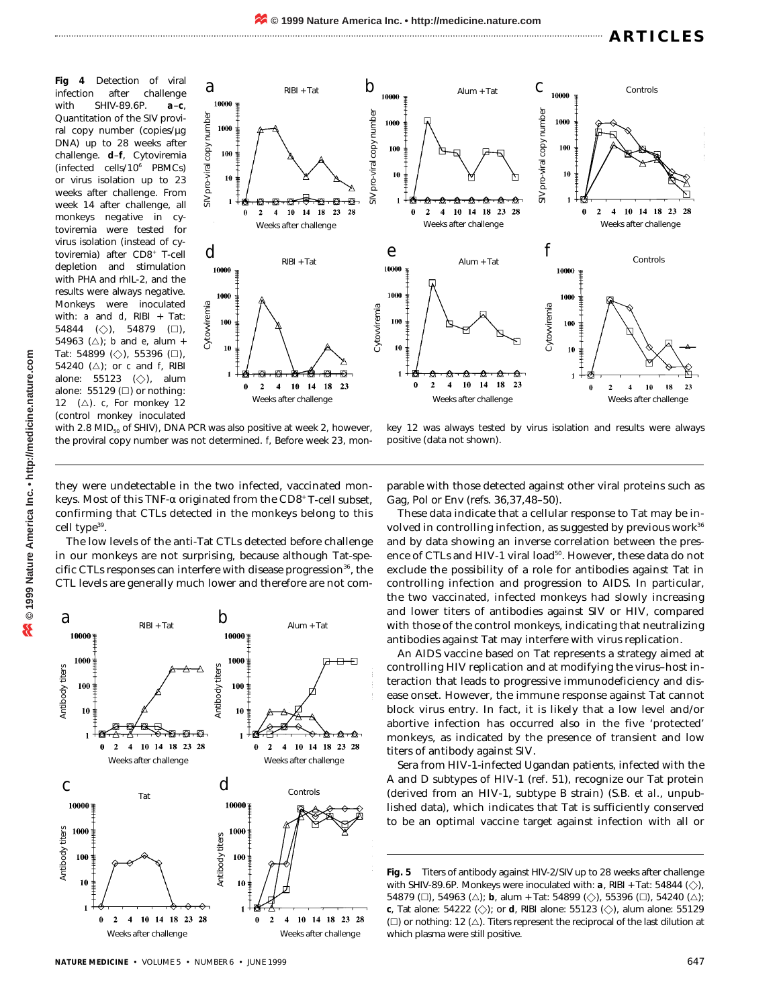**Fig 4** Detection of viral infection after challenge with SHIV-89.6P. *a*–*c*, Quantitation of the SIV proviral copy number (copies/µg DNA) up to 28 weeks after challenge. *d*–*f*, Cytoviremia (infected cells/10<sup>6</sup> PBMCs) or virus isolation up to 23 weeks after challenge. From week 14 after challenge, all monkeys negative in cytoviremia were tested for virus isolation (instead of cytoviremia) after CD8<sup>+</sup> T-cell depletion and stimulation with PHA and rhIL-2, and the results were always negative. Monkeys were inoculated with: *a* and *d*, RIBI + Tat: 54844  $(\diamondsuit)$ , 54879 ( $\square$ ), 54963 ( $\triangle$ ); *b* and *e*, alum + Tat: 54899  $(\diamondsuit)$ , 55396  $(\square)$ , 54240 ( $\triangle$ ); or *c* and *f*, RIBI alone:  $55123$  ( $\diamondsuit$ ), alum alone: 55129  $(\square)$  or nothing: 12  $(\triangle)$ . *c*, For monkey 12 (control monkey inoculated



with 2.8 MID $_{50}$  of SHIV), DNA PCR was also positive at week 2, however, the proviral copy number was not determined. *f*, Before week 23, mon-

key 12 was always tested by virus isolation and results were always positive (data not shown).

they were undetectable in the two infected, vaccinated monkeys. Most of this TNF- $\alpha$  originated from the CD8<sup>+</sup> T-cell subset, confirming that CTLs detected in the monkeys belong to this cell type39.

The low levels of the anti-Tat CTLs detected before challenge in our monkeys are not surprising, because although Tat-specific CTLs responses can interfere with disease progression $36$ , the CTL levels are generally much lower and therefore are not com-



parable with those detected against other viral proteins such as Gag, Pol or Env (refs. 36,37,48–50).

These data indicate that a cellular response to Tat may be involved in controlling infection, as suggested by previous work $36$ and by data showing an inverse correlation between the presence of CTLs and HIV-1 viral load<sup>50</sup>. However, these data do not exclude the possibility of a role for antibodies against Tat in controlling infection and progression to AIDS. In particular, the two vaccinated, infected monkeys had slowly increasing and lower titers of antibodies against SIV or HIV, compared with those of the control monkeys, indicating that neutralizing antibodies against Tat may interfere with virus replication.

An AIDS vaccine based on Tat represents a strategy aimed at controlling HIV replication and at modifying the virus–host interaction that leads to progressive immunodeficiency and disease onset. However, the immune response against Tat cannot block virus entry. In fact, it is likely that a low level and/or abortive infection has occurred also in the five 'protected' monkeys, as indicated by the presence of transient and low titers of antibody against SIV.

Sera from HIV-1-infected Ugandan patients, infected with the A and D subtypes of HIV-1 (ref. 51), recognize our Tat protein (derived from an HIV-1, subtype B strain) (S.B. *et al*., unpublished data), which indicates that Tat is sufficiently conserved to be an optimal vaccine target against infection with all or

**Fig. 5** Titers of antibody against HIV-2/SIV up to 28 weeks after challenge with SHIV-89.6P. Monkeys were inoculated with:  $a$ , RIBI + Tat: 54844 ( $\diamondsuit$ ), 54879 ( $\Box$ ), 54963 ( $\triangle$ ); **b**, alum + Tat: 54899 ( $\diamondsuit$ ), 55396 ( $\Box$ ), 54240 ( $\triangle$ );  $c$ , Tat alone: 54222 ( $\Diamond$ ); or  $d$ , RIBI alone: 55123 ( $\Diamond$ ), alum alone: 55129 ( $\square$ ) or nothing: 12 ( $\triangle$ ). Titers represent the reciprocal of the last dilution at which plasma were still positive.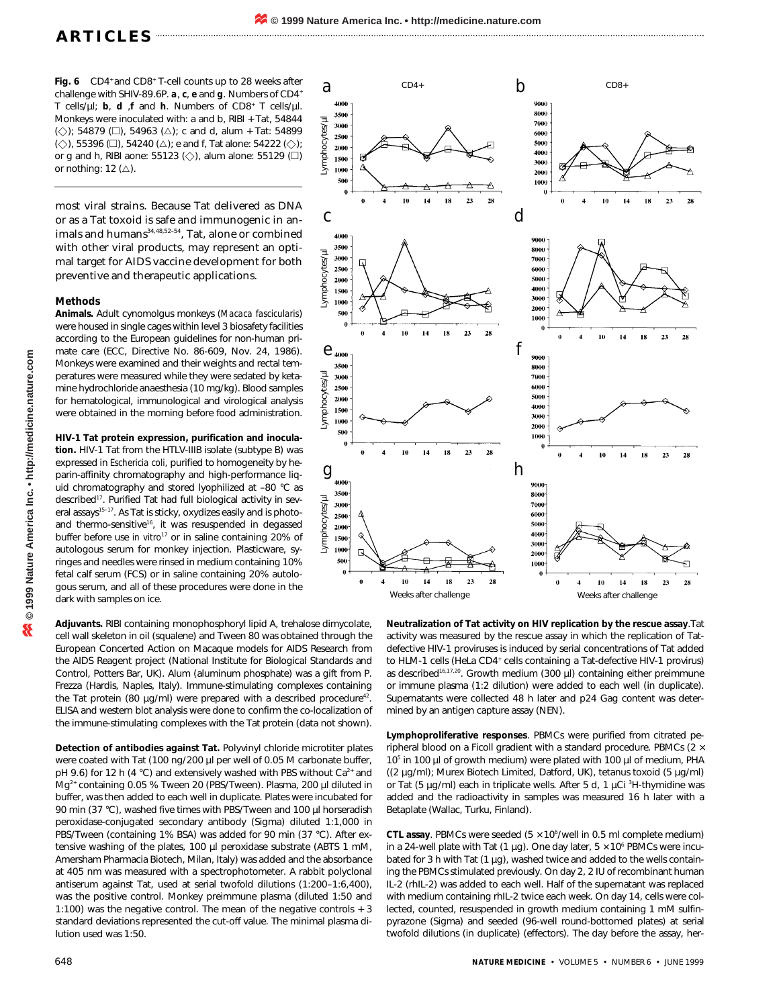Fig. 6 CD4<sup>+</sup> and CD8<sup>+</sup> T-cell counts up to 28 weeks after challenge with SHIV-89.6P. *a*, *c*, *e* and *g*. Numbers of CD4+ T cells/µl; *b*, *d* ,*f* and *h*. Numbers of CD8+ T cells/µl. Monkeys were inoculated with: a and b, RIBI + Tat, 54844  $(\diamondsuit)$ ; 54879 ( $\square$ ), 54963 ( $\triangle$ ); c and d, alum + Tat: 54899  $(\diamondsuit)$ , 55396 ( $\square$ ), 54240 ( $\triangle$ ); e and f, Tat alone: 54222 ( $\diamondsuit$ ); or g and h, RIBI aone: 55123  $(\diamondsuit)$ , alum alone: 55129  $(\square)$ or nothing: 12  $(\triangle)$ .

most viral strains. Because Tat delivered as DNA or as a Tat toxoid is safe and immunogenic in animals and humans $34,48,52-54$ , Tat, alone or combined with other viral products, may represent an optimal target for AIDS vaccine development for both preventive and therapeutic applications.

## **Methods**

**Animals.** Adult cynomolgus monkeys (*Macaca fascicularis*) were housed in single cages within level 3 biosafety facilities according to the European guidelines for non-human primate care (ECC, Directive No. 86-609, Nov. 24, 1986). Monkeys were examined and their weights and rectal temperatures were measured while they were sedated by ketamine hydrochloride anaesthesia (10 mg/kg). Blood samples for hematological, immunological and virological analysis were obtained in the morning before food administration.

**HIV-1 Tat protein expression, purification and inoculation.** HIV-1 Tat from the HTLV-IIIB isolate (subtype B) was expressed in *Eschericia coli,* purified to homogeneity by heparin-affinity chromatography and high-performance liquid chromatography and stored lyophilized at –80 °C as described<sup>17</sup>. Purified Tat had full biological activity in several assays<sup>15-17</sup>. As Tat is sticky, oxydizes easily and is photoand thermo-sensitive<sup>16</sup>, it was resuspended in degassed buffer before use *in vitro*<sup>17</sup> or in saline containing 20% of autologous serum for monkey injection. Plasticware, syringes and needles were rinsed in medium containing 10% fetal calf serum (FCS) or in saline containing 20% autologous serum, and all of these procedures were done in the dark with samples on ice.

**Adjuvants.** RIBI containing monophosphoryl lipid A, trehalose dimycolate, cell wall skeleton in oil (squalene) and Tween 80 was obtained through the European Concerted Action on Macaque models for AIDS Research from the AIDS Reagent project (National Institute for Biological Standards and Control, Potters Bar, UK). Alum (aluminum phosphate) was a gift from P. Frezza (Hardis, Naples, Italy). Immune-stimulating complexes containing the Tat protein (80  $\mu$ g/ml) were prepared with a described procedure<sup>42</sup> ELISA and western blot analysis were done to confirm the co-localization of the immune-stimulating complexes with the Tat protein (data not shown).

**Detection of antibodies against Tat.** Polyvinyl chloride microtiter plates were coated with Tat (100 ng/200 µl per well of 0.05 M carbonate buffer, pH 9.6) for 12 h (4 °C) and extensively washed with PBS without Ca<sup>2+</sup> and Mg<sup>2+</sup> containing 0.05 % Tween 20 (PBS/Tween). Plasma, 200 µl diluted in buffer, was then added to each well in duplicate. Plates were incubated for 90 min (37 °C), washed five times with PBS/Tween and 100 µl horseradish peroxidase-conjugated secondary antibody (Sigma) diluted 1:1,000 in PBS/Tween (containing 1% BSA) was added for 90 min (37 °C). After extensive washing of the plates, 100 µl peroxidase substrate (ABTS 1 mM, Amersham Pharmacia Biotech, Milan, Italy) was added and the absorbance at 405 nm was measured with a spectrophotometer. A rabbit polyclonal antiserum against Tat, used at serial twofold dilutions (1:200–1:6,400), was the positive control. Monkey preimmune plasma (diluted 1:50 and 1:100) was the negative control. The mean of the negative controls + 3 standard deviations represented the cut-off value. The minimal plasma dilution used was 1:50.



**Neutralization of Tat activity on HIV replication by the rescue assay**.Tat activity was measured by the rescue assay in which the replication of Tatdefective HIV-1 proviruses is induced by serial concentrations of Tat added to HLM-1 cells (HeLa CD4<sup>+</sup> cells containing a Tat-defective HIV-1 provirus) as described<sup>16,17,20</sup>. Growth medium (300  $\mu$ I) containing either preimmune or immune plasma (1:2 dilution) were added to each well (in duplicate). Supernatants were collected 48 h later and p24 Gag content was determined by an antigen capture assay (NEN).

**Lymphoproliferative responses**. PBMCs were purified from citrated peripheral blood on a Ficoll gradient with a standard procedure. PBMCs (2  $\times$ 10<sup>5</sup> in 100 µl of growth medium) were plated with 100 µl of medium, PHA ((2 µg/ml); Murex Biotech Limited, Datford, UK), tetanus toxoid (5 µg/ml) or Tat (5 μg/ml) each in triplicate wells. After 5 d, 1 μCi <sup>3</sup>H-thymidine was added and the radioactivity in samples was measured 16 h later with a Betaplate (Wallac, Turku, Finland).

**CTL assay**. PBMCs were seeded  $(5 \times 10^6/\text{well}$  in 0.5 ml complete medium) in a 24-well plate with Tat (1  $\mu$ g). One day later, 5  $\times$  10<sup>6</sup> PBMCs were incubated for 3 h with Tat (1 µg), washed twice and added to the wells containing the PBMCs stimulated previously. On day 2, 2 IU of recombinant human IL-2 (rhIL-2) was added to each well. Half of the supernatant was replaced with medium containing rhIL-2 twice each week. On day 14, cells were collected, counted, resuspended in growth medium containing 1 mM sulfinpyrazone (Sigma) and seeded (96-well round-bottomed plates) at serial twofold dilutions (in duplicate) (effectors). The day before the assay, her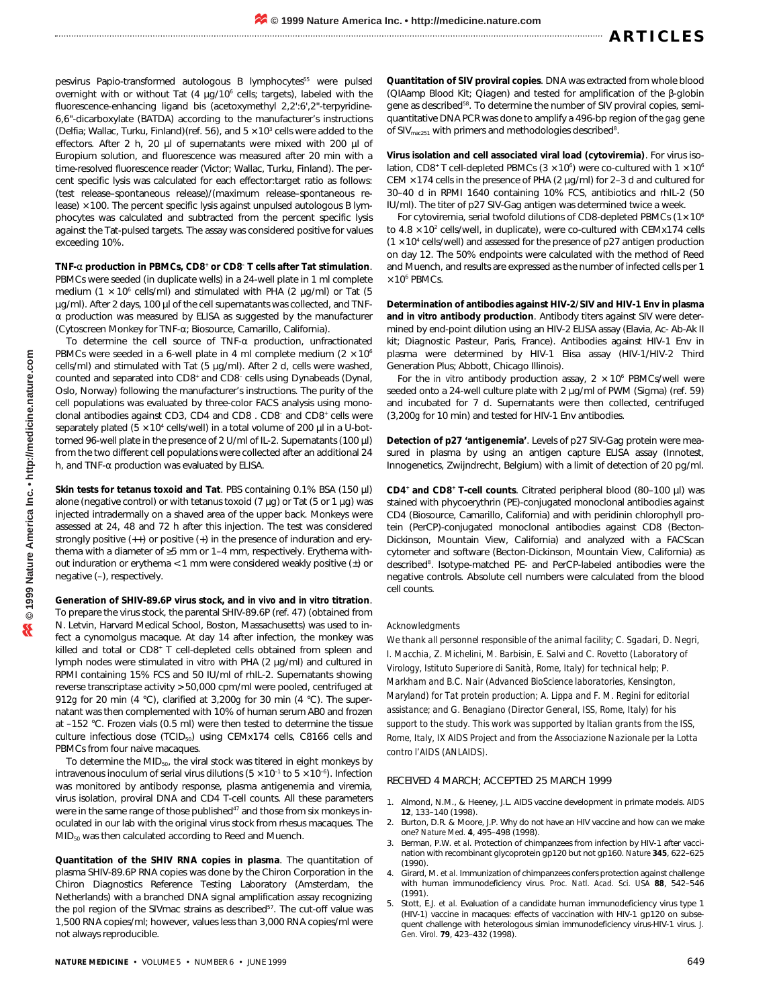pesvirus Papio-transformed autologous B lymphocytes<sup>55</sup> were pulsed overnight with or without Tat  $(4 \mu q/10^6 \text{ cells})$ ; targets), labeled with the fluorescence-enhancing ligand bis (acetoxymethyl 2,2':6',2"-terpyridine-6,6"-dicarboxylate (BATDA) according to the manufacturer's instructions (Delfia; Wallac, Turku, Finland)(ref. 56), and  $5 \times 10^3$  cells were added to the effectors. After 2 h, 20 µl of supernatants were mixed with 200 µl of Europium solution, and fluorescence was measured after 20 min with a time-resolved fluorescence reader (Victor; Wallac, Turku, Finland). The percent specific lysis was calculated for each effector:target ratio as follows: (test release–spontaneous release)/(maximum release–spontaneous release)  $\times$  100. The percent specific lysis against unpulsed autologous B lymphocytes was calculated and subtracted from the percent specific lysis against the Tat-pulsed targets. The assay was considered positive for values exceeding 10%.

**TNF-**α **production in PBMCs, CD8+ or CD8– T cells after Tat stimulation**. PBMCs were seeded (in duplicate wells) in a 24-well plate in 1 ml complete medium (1  $\times$  10<sup>6</sup> cells/ml) and stimulated with PHA (2  $\mu$ g/ml) or Tat (5 µg/ml). After 2 days, 100 µl of the cell supernatants was collected, and TNFα production was measured by ELISA as suggested by the manufacturer (Cytoscreen Monkey for TNF-α; Biosource, Camarillo, California).

To determine the cell source of TNF-α production, unfractionated PBMCs were seeded in a 6-well plate in 4 ml complete medium ( $2 \times 10^6$ ) cells/ml) and stimulated with Tat (5 µg/ml). After 2 d, cells were washed, counted and separated into CD8+ and CD8– cells using Dynabeads (Dynal, Oslo, Norway) following the manufacturer's instructions. The purity of the cell populations was evaluated by three-color FACS analysis using monoclonal antibodies against CD3, CD4 and CD8 . CD8– and CD8+ cells were separately plated ( $5 \times 10^4$  cells/well) in a total volume of 200  $\mu$ l in a U-bottomed 96-well plate in the presence of 2 U/ml of IL-2. Supernatants (100 µl) from the two different cell populations were collected after an additional 24 h, and TNF-α production was evaluated by ELISA.

**Skin tests for tetanus toxoid and Tat**. PBS containing 0.1% BSA (150 µl) alone (negative control) or with tetanus toxoid (7  $\mu$ g) or Tat (5 or 1  $\mu$ g) was injected intradermally on a shaved area of the upper back. Monkeys were assessed at 24, 48 and 72 h after this injection. The test was considered strongly positive (++) or positive (+) in the presence of induration and erythema with a diameter of ≥5 mm or 1–4 mm, respectively. Erythema without induration or erythema  $< 1$  mm were considered weakly positive  $(\pm)$  or negative (–), respectively.

**Generation of SHIV-89.6P virus stock, and** *in vivo* **and** *in vitro* **titration**. To prepare the virus stock, the parental SHIV-89.6P (ref. 47) (obtained from N. Letvin, Harvard Medical School, Boston, Massachusetts) was used to infect a cynomolgus macaque. At day 14 after infection, the monkey was killed and total or CD8<sup>+</sup> T cell-depleted cells obtained from spleen and lymph nodes were stimulated *in vitro* with PHA (2 µg/ml) and cultured in RPMI containing 15% FCS and 50 IU/ml of rhIL-2. Supernatants showing reverse transcriptase activity > 50,000 cpm/ml were pooled, centrifuged at 912*g* for 20 min (4 °C), clarified at 3,200*g* for 30 min (4 °C). The supernatant was then complemented with 10% of human serum AB0 and frozen at –152 °C. Frozen vials (0.5 ml) were then tested to determine the tissue culture infectious dose (TCID<sub>50</sub>) using CEMx174 cells, C8166 cells and PBMCs from four naive macaques.

To determine the MID<sub>50</sub>, the viral stock was titered in eight monkeys by intravenous inoculum of serial virus dilutions ( $5 \times 10^{-1}$  to  $5 \times 10^{-6}$ ). Infection was monitored by antibody response, plasma antigenemia and viremia, virus isolation, proviral DNA and CD4 T-cell counts. All these parameters were in the same range of those published<sup>47</sup> and those from six monkeys inoculated in our lab with the original virus stock from rhesus macaques. The MID<sub>50</sub> was then calculated according to Reed and Muench.

**Quantitation of the SHIV RNA copies in plasma**. The quantitation of plasma SHIV-89.6P RNA copies was done by the Chiron Corporation in the Chiron Diagnostics Reference Testing Laboratory (Amsterdam, the Netherlands) with a branched DNA signal amplification assay recognizing the *pol* region of the SIVmac strains as described<sup>57</sup>. The cut-off value was 1,500 RNA copies/ml; however, values less than 3,000 RNA copies/ml were not always reproducible.

**Quantitation of SIV proviral copies**. DNA was extracted from whole blood (QIAamp Blood Kit; Qiagen) and tested for amplification of the β-globin gene as described<sup>58</sup>. To determine the number of SIV proviral copies, semiquantitative DNA PCR was done to amplify a 496-bp region of the *gag* gene of SIV $_{\text{mac251}}$  with primers and methodologies described<sup>8</sup>.

**Virus isolation and cell associated viral load (cytoviremia)**. For virus isolation, CD8+ T cell-depleted PBMCs (3  $\times$  10<sup>6</sup>) were co-cultured with 1  $\times$  10<sup>6</sup> CEM  $\times$  174 cells in the presence of PHA (2  $\mu$ g/ml) for 2-3 d and cultured for 30–40 d in RPMI 1640 containing 10% FCS, antibiotics and rhIL-2 (50 IU/ml). The titer of p27 SIV-Gag antigen was determined twice a week.

For cytoviremia, serial twofold dilutions of CD8-depleted PBMCs  $(1 \times 10^6)$ to  $4.8 \times 10^2$  cells/well, in duplicate), were co-cultured with CEMx174 cells  $(1 \times 10^4$  cells/well) and assessed for the presence of p27 antigen production on day 12. The 50% endpoints were calculated with the method of Reed and Muench, and results are expressed as the number of infected cells per 1  $\times$  10<sup>6</sup> PBMCs.

**Determination of antibodies against HIV-2/SIV and HIV-1 Env in plasma and** *in vitro* **antibody production**. Antibody titers against SIV were determined by end-point dilution using an HIV-2 ELISA assay (Elavia, Ac- Ab-Ak II kit; Diagnostic Pasteur, Paris, France). Antibodies against HIV-1 Env in plasma were determined by HIV-1 Elisa assay (HIV-1/HIV-2 Third Generation Plus; Abbott, Chicago Illinois).

For the *in vitro* antibody production assay,  $2 \times 10^6$  PBMCs/well were seeded onto a 24-well culture plate with 2 µg/ml of PWM (Sigma) (ref. 59) and incubated for 7 d. Supernatants were then collected, centrifuged (3,200*g* for 10 min) and tested for HIV-1 Env antibodies.

**Detection of p27 'antigenemia'**. Levels of p27 SIV-Gag protein were measured in plasma by using an antigen capture ELISA assay (Innotest, Innogenetics, Zwijndrecht, Belgium) with a limit of detection of 20 pg/ml.

**CD4+ and CD8+ T-cell counts**. Citrated peripheral blood (80–100 µl) was stained with phycoerythrin (PE)-conjugated monoclonal antibodies against CD4 (Biosource, Camarillo, California) and with peridinin chlorophyll protein (PerCP)-conjugated monoclonal antibodies against CD8 (Becton-Dickinson, Mountain View, California) and analyzed with a FACScan cytometer and software (Becton-Dickinson, Mountain View, California) as described<sup>8</sup>. Isotype-matched PE- and PerCP-labeled antibodies were the negative controls. Absolute cell numbers were calculated from the blood cell counts.

#### *Acknowledgments*

*We thank all personnel responsible of the animal facility; C. Sgadari, D. Negri, I. Macchia, Z. Michelini, M. Barbisin, E. Salvi and C. Rovetto (Laboratory of Virology, Istituto Superiore di Sanità, Rome, Italy) for technical help; P. Markham and B.C. Nair (Advanced BioScience laboratories, Kensington, Maryland) for Tat protein production; A. Lippa and F. M. Regini for editorial assistance; and G. Benagiano (Director General, ISS, Rome, Italy) for his support to the study. This work was supported by Italian grants from the ISS, Rome, Italy, IX AIDS Project and from the Associazione Nazionale per la Lotta contro l'AIDS (ANLAIDS).*

#### RECEIVED 4 MARCH; ACCEPTED 25 MARCH 1999

- 1. Almond, N.M., & Heeney, J.L. AIDS vaccine development in primate models. *AIDS* **12**, 133–140 (1998).
- 2. Burton, D.R. & Moore, J.P. Why do not have an HIV vaccine and how can we make one? *Nature Med.* **4**, 495–498 (1998).
- 3. Berman, P.W. *et al*. Protection of chimpanzees from infection by HIV-1 after vaccination with recombinant glycoprotein gp120 but not gp160. *Nature* **345**, 622–625 (1990).
- 4. Girard, M. *et al.* Immunization of chimpanzees confers protection against challenge with human immunodeficiency virus. *Proc. Natl. Acad. Sci. USA* **88**, 542–546 (1991).
- 5. Stott, E.J. *et al.* Evaluation of a candidate human immunodeficiency virus type 1 (HIV-1) vaccine in macaques: effects of vaccination with HIV-1 gp120 on subsequent challenge with heterologous simian immunodeficiency virus-HIV-1 virus. *J. Gen. Virol*. **79**, 423–432 (1998).